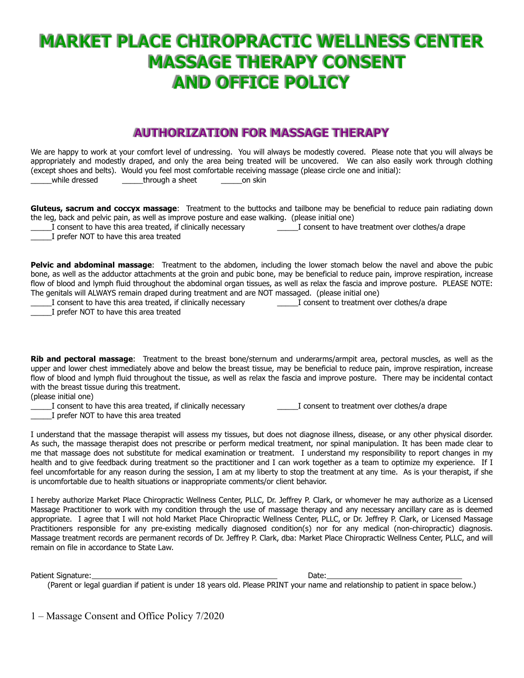# **MARKET PLACE CHIROPRACTIC WELLNESS CENTER MASSAGE THERAPY CONSENT AND OFFICE POLICY**

### **AUTHORIZATION FOR MASSAGE THERAPY**

| We are happy to work at your comfort level of undressing. You will always be modestly covered. Please note that you will always be<br>appropriately and modestly draped, and only the area being treated will be uncovered. We can also easily work through clothing<br>(except shoes and belts). Would you feel most comfortable receiving massage (please circle one and initial):<br>while dressed<br>through a sheet<br>on skin                                                                                                                                                                                                                                                                                                                                                            |
|------------------------------------------------------------------------------------------------------------------------------------------------------------------------------------------------------------------------------------------------------------------------------------------------------------------------------------------------------------------------------------------------------------------------------------------------------------------------------------------------------------------------------------------------------------------------------------------------------------------------------------------------------------------------------------------------------------------------------------------------------------------------------------------------|
| Gluteus, sacrum and coccyx massage: Treatment to the buttocks and tailbone may be beneficial to reduce pain radiating down<br>the leg, back and pelvic pain, as well as improve posture and ease walking. (please initial one)<br>I consent to have this area treated, if clinically necessary<br>I consent to have treatment over clothes/a drape<br>I prefer NOT to have this area treated                                                                                                                                                                                                                                                                                                                                                                                                   |
| <b>Pelvic and abdominal massage:</b> Treatment to the abdomen, including the lower stomach below the navel and above the pubic<br>bone, as well as the adductor attachments at the groin and pubic bone, may be beneficial to reduce pain, improve respiration, increase<br>flow of blood and lymph fluid throughout the abdominal organ tissues, as well as relax the fascia and improve posture. PLEASE NOTE:<br>The genitals will ALWAYS remain draped during treatment and are NOT massaged. (please initial one)<br>I consent to treatment over clothes/a drape<br>I consent to have this area treated, if clinically necessary<br>I prefer NOT to have this area treated                                                                                                                 |
| Rib and pectoral massage: Treatment to the breast bone/sternum and underarms/armpit area, pectoral muscles, as well as the<br>upper and lower chest immediately above and below the breast tissue, may be beneficial to reduce pain, improve respiration, increase<br>flow of blood and lymph fluid throughout the tissue, as well as relax the fascia and improve posture. There may be incidental contact<br>with the breast tissue during this treatment.<br>(please initial one)<br>I consent to have this area treated, if clinically necessary<br>I consent to treatment over clothes/a drape                                                                                                                                                                                            |
| I prefer NOT to have this area treated                                                                                                                                                                                                                                                                                                                                                                                                                                                                                                                                                                                                                                                                                                                                                         |
| I understand that the massage therapist will assess my tissues, but does not diagnose illness, disease, or any other physical disorder.<br>As such, the massage therapist does not prescribe or perform medical treatment, nor spinal manipulation. It has been made clear to<br>me that massage does not substitute for medical examination or treatment. I understand my responsibility to report changes in my<br>health and to give feedback during treatment so the practitioner and I can work together as a team to optimize my experience. If I<br>feel uncomfortable for any reason during the session, I am at my liberty to stop the treatment at any time. As is your therapist, if she<br>is uncomfortable due to health situations or inappropriate comments/or client behavior. |
| I havehy suthavize Maylet Dlage Chivenyastic Wellness Capter DUC Dy Jeffrey D Clayle as whomeover he may suthavize as a Licensed                                                                                                                                                                                                                                                                                                                                                                                                                                                                                                                                                                                                                                                               |

I hereby authorize Market Place Chiropractic Wellness Center, PLLC, Dr. Jeffrey P. Clark, or whomever he may authorize as a Licensed Massage Practitioner to work with my condition through the use of massage therapy and any necessary ancillary care as is deemed appropriate. I agree that I will not hold Market Place Chiropractic Wellness Center, PLLC, or Dr. Jeffrey P. Clark, or Licensed Massage Practitioners responsible for any pre-existing medically diagnosed condition(s) nor for any medical (non-chiropractic) diagnosis. Massage treatment records are permanent records of Dr. Jeffrey P. Clark, dba: Market Place Chiropractic Wellness Center, PLLC, and will remain on file in accordance to State Law.

Patient Signature: Date: Date: Date: Date: Date: Date: Date: Date: Date: Date: Date: Date: Date: Date: Date: D

(Parent or legal guardian if patient is under 18 years old. Please PRINT your name and relationship to patient in space below.)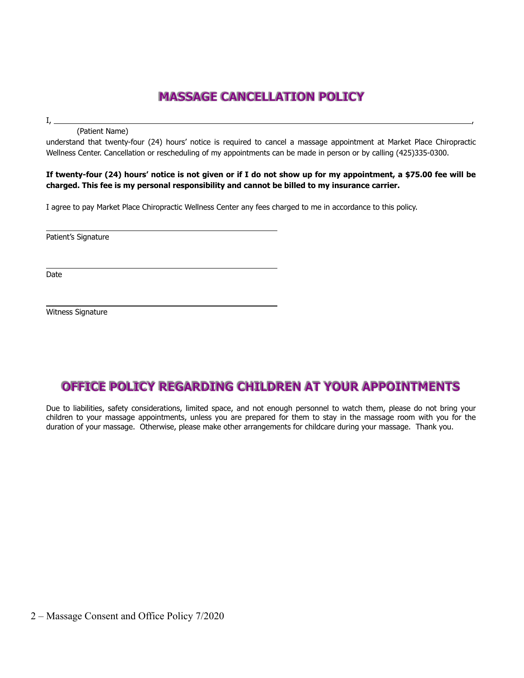## **MASSAGE CANCELLATION POLICY**

I, ,

(Patient Name)

understand that twenty-four (24) hours' notice is required to cancel a massage appointment at Market Place Chiropractic Wellness Center. Cancellation or rescheduling of my appointments can be made in person or by calling (425)335-0300.

#### **If twenty-four (24) hours' notice is not given or if I do not show up for my appointment, a \$75.00 fee will be charged. This fee is my personal responsibility and cannot be billed to my insurance carrier.**

I agree to pay Market Place Chiropractic Wellness Center any fees charged to me in accordance to this policy.

Patient's Signature

Date

Witness Signature

#### **OFFICE POLICY REGARDING CHILDREN AT YOUR APPOINTMENTS**

Due to liabilities, safety considerations, limited space, and not enough personnel to watch them, please do not bring your children to your massage appointments, unless you are prepared for them to stay in the massage room with you for the duration of your massage. Otherwise, please make other arrangements for childcare during your massage. Thank you.